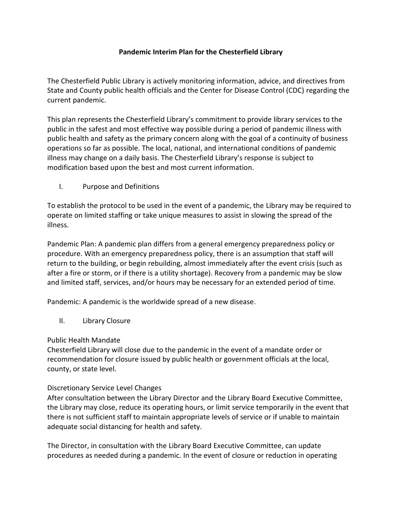## **Pandemic Interim Plan for the Chesterfield Library**

The Chesterfield Public Library is actively monitoring information, advice, and directives from State and County public health officials and the Center for Disease Control (CDC) regarding the current pandemic.

This plan represents the Chesterfield Library's commitment to provide library services to the public in the safest and most effective way possible during a period of pandemic illness with public health and safety as the primary concern along with the goal of a continuity of business operations so far as possible. The local, national, and international conditions of pandemic illness may change on a daily basis. The Chesterfield Library's response is subject to modification based upon the best and most current information.

I. Purpose and Definitions

To establish the protocol to be used in the event of a pandemic, the Library may be required to operate on limited staffing or take unique measures to assist in slowing the spread of the illness.

Pandemic Plan: A pandemic plan differs from a general emergency preparedness policy or procedure. With an emergency preparedness policy, there is an assumption that staff will return to the building, or begin rebuilding, almost immediately after the event crisis (such as after a fire or storm, or if there is a utility shortage). Recovery from a pandemic may be slow and limited staff, services, and/or hours may be necessary for an extended period of time.

Pandemic: A pandemic is the worldwide spread of a new disease.

II. Library Closure

### Public Health Mandate

Chesterfield Library will close due to the pandemic in the event of a mandate order or recommendation for closure issued by public health or government officials at the local, county, or state level.

### Discretionary Service Level Changes

After consultation between the Library Director and the Library Board Executive Committee, the Library may close, reduce its operating hours, or limit service temporarily in the event that there is not sufficient staff to maintain appropriate levels of service or if unable to maintain adequate social distancing for health and safety.

The Director, in consultation with the Library Board Executive Committee, can update procedures as needed during a pandemic. In the event of closure or reduction in operating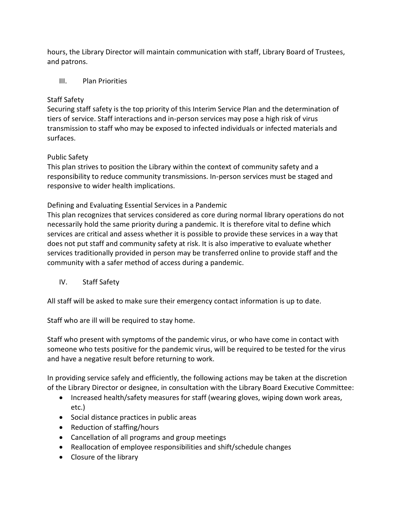hours, the Library Director will maintain communication with staff, Library Board of Trustees, and patrons.

III. Plan Priorities

# Staff Safety

Securing staff safety is the top priority of this Interim Service Plan and the determination of tiers of service. Staff interactions and in-person services may pose a high risk of virus transmission to staff who may be exposed to infected individuals or infected materials and surfaces.

# Public Safety

This plan strives to position the Library within the context of community safety and a responsibility to reduce community transmissions. In-person services must be staged and responsive to wider health implications.

Defining and Evaluating Essential Services in a Pandemic

This plan recognizes that services considered as core during normal library operations do not necessarily hold the same priority during a pandemic. It is therefore vital to define which services are critical and assess whether it is possible to provide these services in a way that does not put staff and community safety at risk. It is also imperative to evaluate whether services traditionally provided in person may be transferred online to provide staff and the community with a safer method of access during a pandemic.

IV. Staff Safety

All staff will be asked to make sure their emergency contact information is up to date.

Staff who are ill will be required to stay home.

Staff who present with symptoms of the pandemic virus, or who have come in contact with someone who tests positive for the pandemic virus, will be required to be tested for the virus and have a negative result before returning to work.

In providing service safely and efficiently, the following actions may be taken at the discretion of the Library Director or designee, in consultation with the Library Board Executive Committee:

- Increased health/safety measures for staff (wearing gloves, wiping down work areas, etc.)
- Social distance practices in public areas
- Reduction of staffing/hours
- Cancellation of all programs and group meetings
- Reallocation of employee responsibilities and shift/schedule changes
- Closure of the library